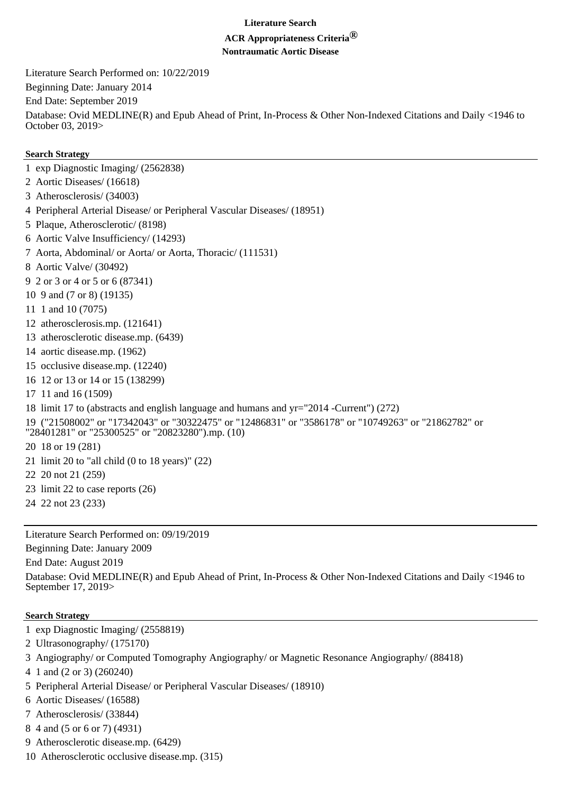## **Literature Search**

# **ACR Appropriateness Criteria®**

**Nontraumatic Aortic Disease**

Literature Search Performed on: 10/22/2019 Beginning Date: January 2014 End Date: September 2019 Database: Ovid MEDLINE(R) and Epub Ahead of Print, In-Process & Other Non-Indexed Citations and Daily <1946 to October 03, 2019>

## **Search Strategy**

- 1 exp Diagnostic Imaging/ (2562838)
- 2 Aortic Diseases/ (16618)
- 3 Atherosclerosis/ (34003)
- 4 Peripheral Arterial Disease/ or Peripheral Vascular Diseases/ (18951)
- 5 Plaque, Atherosclerotic/ (8198)
- 6 Aortic Valve Insufficiency/ (14293)
- 7 Aorta, Abdominal/ or Aorta/ or Aorta, Thoracic/ (111531)
- 8 Aortic Valve/ (30492)
- 9 2 or 3 or 4 or 5 or 6 (87341)
- 10 9 and (7 or 8) (19135)
- 11 1 and 10 (7075)
- 12 atherosclerosis.mp. (121641)
- 13 atherosclerotic disease.mp. (6439)
- 14 aortic disease.mp. (1962)
- 15 occlusive disease.mp. (12240)
- 16 12 or 13 or 14 or 15 (138299)
- 17 11 and 16 (1509)
- 18 limit 17 to (abstracts and english language and humans and yr="2014 -Current") (272)
- 19 ("21508002" or "17342043" or "30322475" or "12486831" or "3586178" or "10749263" or "21862782" or "28401281" or "25300525" or "20823280").mp. (10)
- 20 18 or 19 (281)
- 21 limit 20 to "all child (0 to 18 years)" (22)
- 22 20 not 21 (259)
- 23 limit 22 to case reports (26)
- 24 22 not 23 (233)

Literature Search Performed on: 09/19/2019

Beginning Date: January 2009

End Date: August 2019

Database: Ovid MEDLINE(R) and Epub Ahead of Print, In-Process & Other Non-Indexed Citations and Daily <1946 to September 17, 2019>

# **Search Strategy**

- 1 exp Diagnostic Imaging/ (2558819)
- 2 Ultrasonography/ (175170)
- 3 Angiography/ or Computed Tomography Angiography/ or Magnetic Resonance Angiography/ (88418)
- 4 1 and (2 or 3) (260240)
- 5 Peripheral Arterial Disease/ or Peripheral Vascular Diseases/ (18910)
- 6 Aortic Diseases/ (16588)
- 7 Atherosclerosis/ (33844)
- 8 4 and (5 or 6 or 7) (4931)
- 9 Atherosclerotic disease.mp. (6429)
- 10 Atherosclerotic occlusive disease.mp. (315)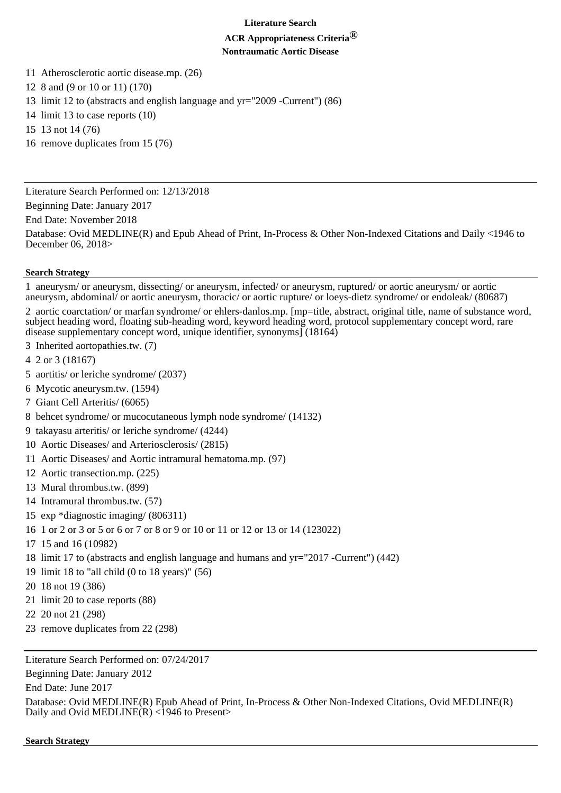### **Literature Search**

## **ACR Appropriateness Criteria® Nontraumatic Aortic Disease**

- 11 Atherosclerotic aortic disease.mp. (26)
- 12 8 and (9 or 10 or 11) (170)
- 13 limit 12 to (abstracts and english language and yr="2009 -Current") (86)
- 14 limit 13 to case reports (10)
- 15 13 not 14 (76)
- 16 remove duplicates from 15 (76)

Literature Search Performed on: 12/13/2018

Beginning Date: January 2017

End Date: November 2018

Database: Ovid MEDLINE(R) and Epub Ahead of Print, In-Process & Other Non-Indexed Citations and Daily <1946 to December 06, 2018>

# **Search Strategy**

1 aneurysm/ or aneurysm, dissecting/ or aneurysm, infected/ or aneurysm, ruptured/ or aortic aneurysm/ or aortic aneurysm, abdominal/ or aortic aneurysm, thoracic/ or aortic rupture/ or loeys-dietz syndrome/ or endoleak/ (80687)

2 aortic coarctation/ or marfan syndrome/ or ehlers-danlos.mp. [mp=title, abstract, original title, name of substance word, subject heading word, floating sub-heading word, keyword heading word, protocol supplementary concept word, rare disease supplementary concept word, unique identifier, synonyms] (18164)

- 3 Inherited aortopathies.tw. (7)
- 4 2 or 3 (18167)
- 5 aortitis/ or leriche syndrome/ (2037)
- 6 Mycotic aneurysm.tw. (1594)
- 7 Giant Cell Arteritis/ (6065)
- 8 behcet syndrome/ or mucocutaneous lymph node syndrome/ (14132)
- 9 takayasu arteritis/ or leriche syndrome/ (4244)
- 10 Aortic Diseases/ and Arteriosclerosis/ (2815)
- 11 Aortic Diseases/ and Aortic intramural hematoma.mp. (97)
- 12 Aortic transection.mp. (225)
- 13 Mural thrombus.tw. (899)
- 14 Intramural thrombus.tw. (57)
- 15 exp \*diagnostic imaging/ (806311)
- 16 1 or 2 or 3 or 5 or 6 or 7 or 8 or 9 or 10 or 11 or 12 or 13 or 14 (123022)
- 17 15 and 16 (10982)
- 18 limit 17 to (abstracts and english language and humans and yr="2017 -Current") (442)
- 19 limit 18 to "all child (0 to 18 years)" (56)
- 20 18 not 19 (386)
- 21 limit 20 to case reports (88)
- 22 20 not 21 (298)
- 23 remove duplicates from 22 (298)

Literature Search Performed on: 07/24/2017

Beginning Date: January 2012

End Date: June 2017

Database: Ovid MEDLINE(R) Epub Ahead of Print, In-Process & Other Non-Indexed Citations, Ovid MEDLINE(R) Daily and Ovid MEDLINE $(R)$  <1946 to Present>

**Search Strategy**